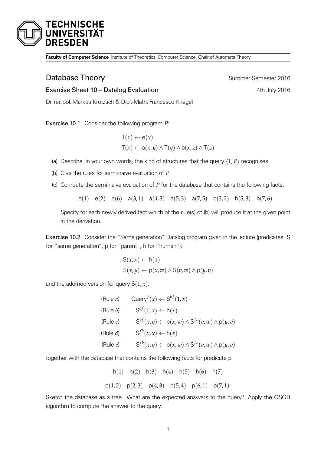

**Faculty of Computer Science** Institute of Theoretical Computer Science, Chair of Automata Theory

## **Database Theory Summer Semester 2016**

Exercise Sheet 10 – Datalog Evaluation **Exercise Sheet 10 – Datalog Evaluation** 4th July 2016

Dr. rer. pol.Markus Krötzsch & Dipl.-Math. Francesco Kriegel

Exercise 10.1 Consider the following program *P*:

- $T(x) \leftarrow e(x)$  $T(x) \leftarrow a(x, y) \land T(y) \land b(x, z) \land T(z)$
- (a) Describe, in your own words, the kind of structures that the query  $\langle T, P \rangle$  recognises.
- (b) Give the rules for semi-naive evaluation of *P*.
- (c) Compute the semi-naive evaluation of *P* for the database that contains the following facts:

e(1) e(2) e(6) a(3,1) a(4,3) a(5,3) a(7,5) b(3,2) b(5,3) b(7,6)

Specify for each newly derived fact which of the rule(s) of (b) will produce it at the given point in the derivation.

Exercise 10.2 Consider the "Same generation" Datalog program given in the lecture (predicates: S for "same generation", p for "parent", h for "human"):

$$
S(x, x) \leftarrow h(x)
$$
  

$$
S(x, y) \leftarrow p(x, w) \land S(v, w) \land p(y, v)
$$

and the adorned version for query  $S(1, x)$ :

(Rule *a*) 
$$
\text{Query}^f(x) \leftarrow S^{bf}(1, x)
$$
\n(Rule *b*) 
$$
S^{bf}(x, x) \leftarrow h(x)
$$
\n(Rule *c*) 
$$
S^{bf}(x, y) \leftarrow p(x, w) \land S^{fb}(v, w) \land p(y, v)
$$
\n(Rule *d*) 
$$
S^{fb}(x, x) \leftarrow h(x)
$$
\n(Rule *e*) 
$$
S^{fb}(x, y) \leftarrow p(x, w) \land S^{fb}(v, w) \land p(y, v)
$$

together with the database that contains the following facts for predicate p:

h(1) h(2) h(3) h(4) h(5) h(6) h(7)  $p(1, 2)$   $p(2, 3)$   $p(4, 3)$   $p(5, 4)$   $p(6, 1)$   $p(7, 1)$ .

Sketch the database as a tree. What are the expected answers to the query? Apply the QSQR algorithm to compute the answer to the query.